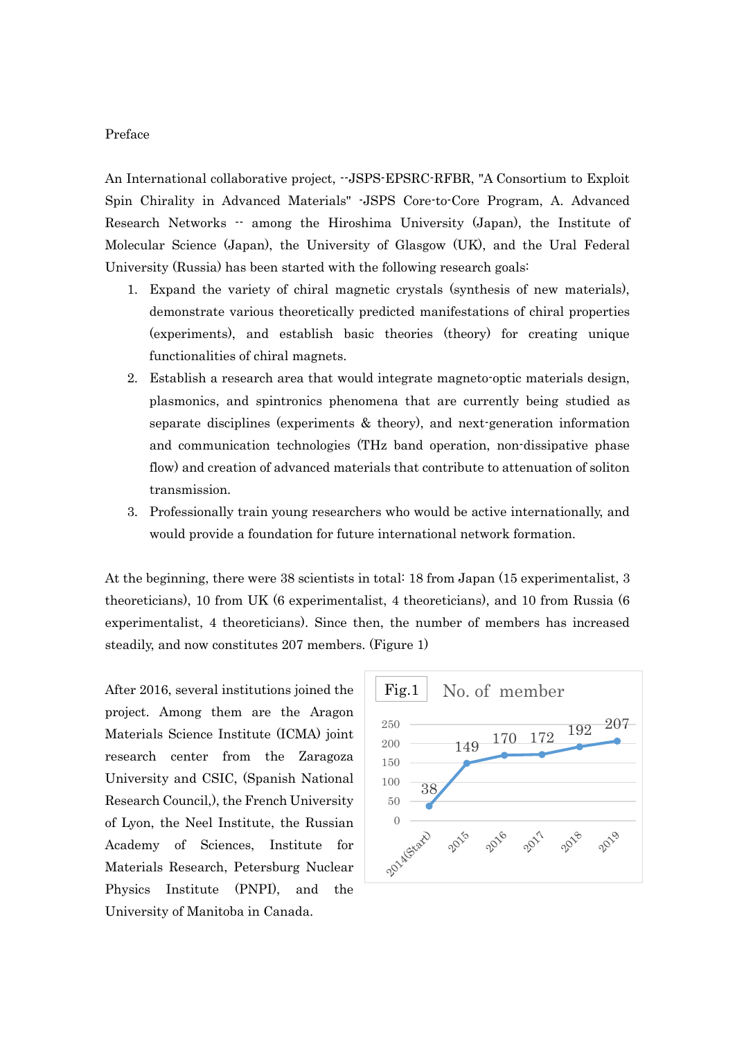## Preface

An International collaborative project, --JSPS-EPSRC-RFBR, "A Consortium to Exploit Spin Chirality in Advanced Materials" -JSPS Core-to-Core Program, A. Advanced Research Networks -- among the Hiroshima University (Japan), the Institute of Molecular Science (Japan), the University of Glasgow (UK), and the Ural Federal University (Russia) has been started with the following research goals:

- 1. Expand the variety of chiral magnetic crystals (synthesis of new materials), demonstrate various theoretically predicted manifestations of chiral properties (experiments), and establish basic theories (theory) for creating unique functionalities of chiral magnets.
- 2. Establish a research area that would integrate magneto-optic materials design, plasmonics, and spintronics phenomena that are currently being studied as separate disciplines (experiments & theory), and next-generation information and communication technologies (THz band operation, non-dissipative phase flow) and creation of advanced materials that contribute to attenuation of soliton transmission.
- 3. Professionally train young researchers who would be active internationally, and would provide a foundation for future international network formation.

At the beginning, there were 38 scientists in total: 18 from Japan (15 experimentalist, 3 theoreticians), 10 from UK (6 experimentalist, 4 theoreticians), and 10 from Russia (6 experimentalist, 4 theoreticians). Since then, the number of members has increased steadily, and now constitutes 207 members. (Figure 1)

After 2016, several institutions joined the project. Among them are the Aragon Materials Science Institute (ICMA) joint research center from the Zaragoza University and CSIC, (Spanish National Research Council,), the French University of Lyon, the Neel Institute, the Russian Academy of Sciences, Institute for Materials Research, Petersburg Nuclear Physics Institute (PNPI), and the University of Manitoba in Canada.